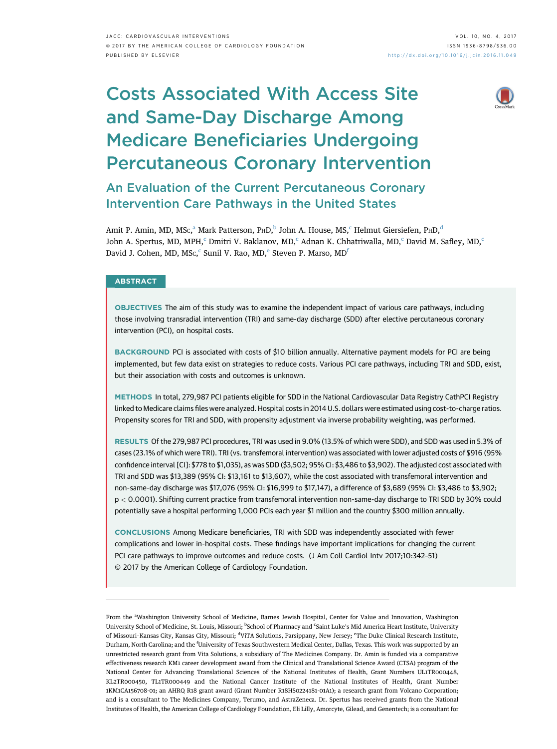# Costs Associated With Access Site and Same-Day Discharge Among Medicare Beneficiaries Undergoing Percutaneous Coronary Intervention



An Evaluation of the Current Percutaneous Coronary Intervention Care Pathways in the United States

Amit P. Amin, MD, MSc, $^{\rm a}$  Mark Patterson, P $\rm{_HD,^b}$  John A. House, MS, $^{\rm c}$  Helmut Giersiefen, P $\rm{_HD,^d}$ John A. Spertus, MD, MPH,<sup>c</sup> Dmitri V. Baklanov, MD,<sup>c</sup> Adnan K. Chhatriwalla, MD,<sup>c</sup> David M. Safley, MD,<sup>c</sup> David J. Cohen, MD, MSc, $\mathrm{c}\,\,$ Sunil V. Rao, MD, $\mathrm{e}\,$ Steven P. Marso, MD $\mathrm{f}\,\,$ 

## **ABSTRACT**

OBJECTIVES The aim of this study was to examine the independent impact of various care pathways, including those involving transradial intervention (TRI) and same-day discharge (SDD) after elective percutaneous coronary intervention (PCI), on hospital costs.

BACKGROUND PCI is associated with costs of \$10 billion annually. Alternative payment models for PCI are being implemented, but few data exist on strategies to reduce costs. Various PCI care pathways, including TRI and SDD, exist, but their association with costs and outcomes is unknown.

METHODS In total, 279,987 PCI patients eligible for SDD in the National Cardiovascular Data Registry CathPCI Registry linked to Medicare claims files were analyzed. Hospital costs in 2014 U.S. dollars were estimated using cost-to-charge ratios. Propensity scores for TRI and SDD, with propensity adjustment via inverse probability weighting, was performed.

RESULTS Of the 279,987 PCI procedures, TRI was used in 9.0% (13.5% of which were SDD), and SDD was used in 5.3% of cases (23.1% of which were TRI). TRI (vs. transfemoral intervention) was associated with lower adjusted costs of \$916 (95% confidence interval [CI]: \$778 to \$1,035), as was SDD (\$3,502; 95% CI: \$3,486 to \$3,902). The adjusted cost associated with TRI and SDD was \$13,389 (95% CI: \$13,161 to \$13,607), while the cost associated with transfemoral intervention and non-same-day discharge was \$17,076 (95% CI: \$16,999 to \$17,147), a difference of \$3,689 (95% CI: \$3,486 to \$3,902; p < 0.0001). Shifting current practice from transfemoral intervention non-same-day discharge to TRI SDD by 30% could potentially save a hospital performing 1,000 PCIs each year \$1 million and the country \$300 million annually.

CONCLUSIONS Among Medicare beneficiaries, TRI with SDD was independently associated with fewer complications and lower in-hospital costs. These findings have important implications for changing the current PCI care pathways to improve outcomes and reduce costs. (J Am Coll Cardiol Intv 2017;10:342–51) © 2017 by the American College of Cardiology Foundation.

From the <sup>a</sup>Washington University School of Medicine, Barnes Jewish Hospital, Center for Value and Innovation, Washington University School of Medicine, St. Louis, Missouri; <sup>b</sup>School of Pharmacy and <sup>c</sup>Saint Luke's Mid America Heart Institute, University of Missouri-Kansas City, Kansas City, Missouri; <sup>d</sup>ViTA Solutions, Parsippany, New Jersey; <sup>e</sup>The Duke Clinical Research Institute, Durham, North Carolina; and the <sup>f</sup>University of Texas Southwestern Medical Center, Dallas, Texas. This work was supported by an unrestricted research grant from Vita Solutions, a subsidiary of The Medicines Company. Dr. Amin is funded via a comparative effectiveness research KM1 career development award from the Clinical and Translational Science Award (CTSA) program of the National Center for Advancing Translational Sciences of the National Institutes of Health, Grant Numbers UL1TR000448, KL2TR000450, TL1TR000449 and the National Cancer Institute of the National Institutes of Health, Grant Number 1KM1CA156708-01; an AHRQ R18 grant award (Grant Number R18HS0224181-01A1); a research grant from Volcano Corporation; and is a consultant to The Medicines Company, Terumo, and AstraZeneca. Dr. Spertus has received grants from the National Institutes of Health, the American College of Cardiology Foundation, Eli Lilly, Amorcyte, Gilead, and Genentech; is a consultant for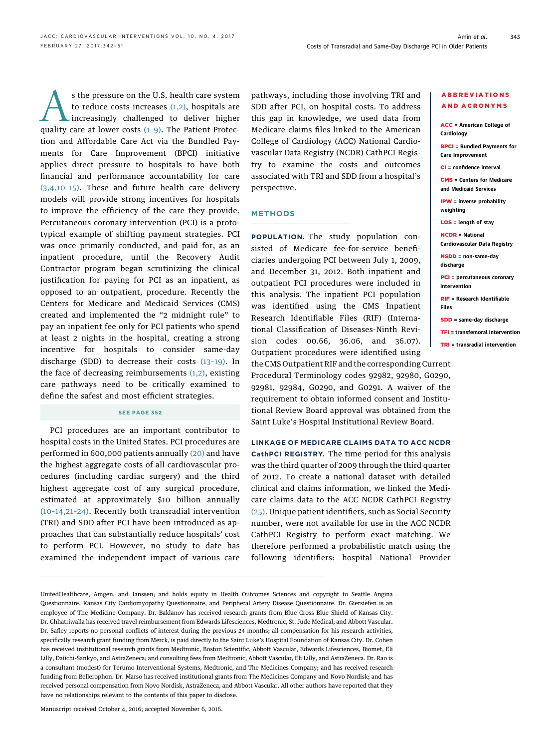s the pressure on the U.S. health care system<br>to reduce costs increases (1,2), hospitals are<br>quality care at lower costs (1-9). The Patient Protecto reduce costs increases  $(1,2)$ , hospitals are increasingly challenged to deliver higher quality care at lower costs  $(1-9)$ . The Patient Protection and Affordable Care Act via the Bundled Payments for Care Improvement (BPCI) initiative applies direct pressure to hospitals to have both financial and performance accountability for care [\(3,4,10](#page-8-0)–15). These and future health care delivery models will provide strong incentives for hospitals to improve the efficiency of the care they provide. Percutaneous coronary intervention (PCI) is a prototypical example of shifting payment strategies. PCI was once primarily conducted, and paid for, as an inpatient procedure, until the Recovery Audit Contractor program began scrutinizing the clinical justification for paying for PCI as an inpatient, as opposed to an outpatient, procedure. Recently the Centers for Medicare and Medicaid Services (CMS) created and implemented the "2 midnight rule" to pay an inpatient fee only for PCI patients who spend at least 2 nights in the hospital, creating a strong incentive for hospitals to consider same-day discharge (SDD) to decrease their costs (13–[19\)](#page-9-0). In the face of decreasing reimbursements  $(1,2)$ , existing care pathways need to be critically examined to define the safest and most efficient strategies.

#### SEE PAGE 352

PCI procedures are an important contributor to hospital costs in the United States. PCI procedures are performed in 600,000 patients annually [\(20\)](#page-9-0) and have the highest aggregate costs of all cardiovascular procedures (including cardiac surgery) and the third highest aggregate cost of any surgical procedure, estimated at approximately \$10 billion annually (10–[14,21](#page-8-0)–24). Recently both transradial intervention (TRI) and SDD after PCI have been introduced as approaches that can substantially reduce hospitals' cost to perform PCI. However, no study to date has examined the independent impact of various care

pathways, including those involving TRI and SDD after PCI, on hospital costs. To address this gap in knowledge, we used data from Medicare claims files linked to the American College of Cardiology (ACC) National Cardiovascular Data Registry (NCDR) CathPCI Registry to examine the costs and outcomes associated with TRI and SDD from a hospital's perspective.

### METHODS

POPULATION. The study population consisted of Medicare fee-for-service beneficiaries undergoing PCI between July 1, 2009, and December 31, 2012. Both inpatient and outpatient PCI procedures were included in this analysis. The inpatient PCI population was identified using the CMS Inpatient Research Identifiable Files (RIF) (International Classification of Diseases-Ninth Revision codes 00.66, 36.06, and 36.07). Outpatient procedures were identified using the CMS Outpatient RIF and the corresponding Current

Procedural Terminology codes 92982, 92980, G0290, 92981, 92984, G0290, and G0291. A waiver of the requirement to obtain informed consent and Institutional Review Board approval was obtained from the Saint Luke's Hospital Institutional Review Board.

LINKAGE OF MEDICARE CLAIMS DATA TO ACC NCDR CathPCI REGISTRY. The time period for this analysis was the third quarter of 2009 through the third quarter of 2012. To create a national dataset with detailed clinical and claims information, we linked the Medicare claims data to the ACC NCDR CathPCI Registry [\(25\)](#page-9-0). Unique patient identifiers, such as Social Security number, were not available for use in the ACC NCDR CathPCI Registry to perform exact matching. We therefore performed a probabilistic match using the following identifiers: hospital National Provider

Manuscript received October 4, 2016; accepted November 6, 2016.

## BPCI = Bundled Payments for Care Improvement CI = confidence interval CMS = Centers for Medicare and Medicaid Services IPW = inverse probability weighting LOS = length of stay NCDR = National Cardiovascular Data Registry NSDD = non-same-day discharge PCI = percutaneous coronary intervention

ABBREVIATIONS AND ACRONYMS

ACC = American College of

**Cardiology** 

RIF = Research Identifiable Files

SDD = same-day discharge

TFI = transfemoral intervention

TRI = transradial intervention

UnitedHealthcare, Amgen, and Janssen; and holds equity in Health Outcomes Sciences and copyright to Seattle Angina Questionnaire, Kansas City Cardiomyopathy Questionnaire, and Peripheral Artery Disease Questionnaire. Dr. Giersiefen is an employee of The Medicine Company. Dr. Baklanov has received research grants from Blue Cross Blue Shield of Kansas City. Dr. Chhatriwalla has received travel reimbursement from Edwards Lifesciences, Medtronic, St. Jude Medical, and Abbott Vascular. Dr. Safley reports no personal conflicts of interest during the previous 24 months; all compensation for his research activities, specifically research grant funding from Merck, is paid directly to the Saint Luke's Hospital Foundation of Kansas City. Dr. Cohen has received institutional research grants from Medtronic, Boston Scientific, Abbott Vascular, Edwards Lifesciences, Biomet, Eli Lilly, Daiichi-Sankyo, and AstraZeneca; and consulting fees from Medtronic, Abbott Vascular, Eli Lilly, and AstraZeneca. Dr. Rao is a consultant (modest) for Terumo Interventional Systems, Medtronic, and The Medicines Company; and has received research funding from Bellerophon. Dr. Marso has received institutional grants from The Medicines Company and Novo Nordisk; and has received personal compensation from Novo Nordisk, AstraZeneca, and Abbott Vascular. All other authors have reported that they have no relationships relevant to the contents of this paper to disclose.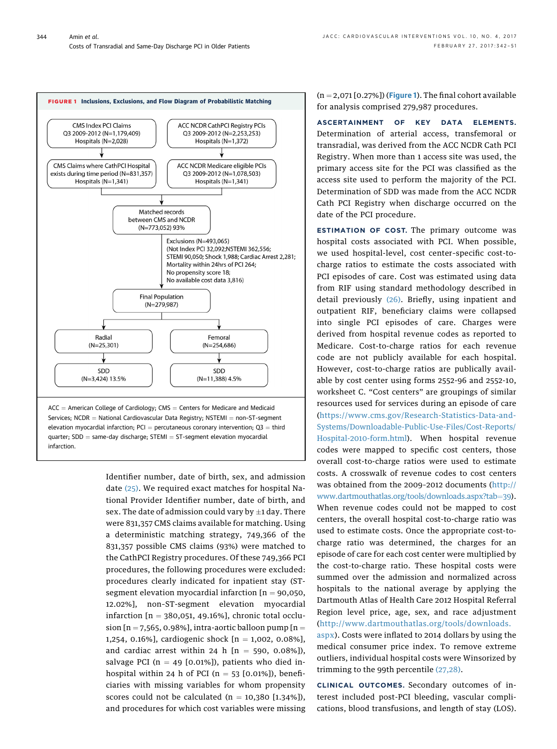<span id="page-2-0"></span>

Identifier number, date of birth, sex, and admission date [\(25\)](#page-9-0). We required exact matches for hospital National Provider Identifier number, date of birth, and sex. The date of admission could vary by  $\pm$ 1 day. There were 831,357 CMS claims available for matching. Using a deterministic matching strategy, 749,366 of the 831,357 possible CMS claims (93%) were matched to the CathPCI Registry procedures. Of these 749,366 PCI procedures, the following procedures were excluded: procedures clearly indicated for inpatient stay (STsegment elevation myocardial infarction  $[n = 90,050,$ 12.02%], non–ST-segment elevation myocardial infarction  $[n = 380,051, 49.16\%]$ , chronic total occlusion  $[n = 7,565, 0.98\%]$ , intra-aortic balloon pump  $[n = 1, 1]$ 1,254, 0.16%], cardiogenic shock  $[n = 1,002, 0.08\%]$ , and cardiac arrest within 24 h  $[n = 590, 0.08\%]$ ), salvage PCI ( $n = 49$  [0.01%]), patients who died inhospital within 24 h of PCI ( $n = 53$  [0.01%]), beneficiaries with missing variables for whom propensity scores could not be calculated  $(n = 10,380 [1.34\%])$ , and procedures for which cost variables were missing  $(n = 2.071 [0.27\%)$  (Figure 1). The final cohort available for analysis comprised 279,987 procedures.

ASCERTAINMENT OF KEY DATA ELEMENTS. Determination of arterial access, transfemoral or transradial, was derived from the ACC NCDR Cath PCI Registry. When more than 1 access site was used, the primary access site for the PCI was classified as the access site used to perform the majority of the PCI. Determination of SDD was made from the ACC NCDR Cath PCI Registry when discharge occurred on the date of the PCI procedure.

ESTIMATION OF COST. The primary outcome was hospital costs associated with PCI. When possible, we used hospital-level, cost center–specific cost-tocharge ratios to estimate the costs associated with PCI episodes of care. Cost was estimated using data from RIF using standard methodology described in detail previously [\(26\).](#page-9-0) Briefly, using inpatient and outpatient RIF, beneficiary claims were collapsed into single PCI episodes of care. Charges were derived from hospital revenue codes as reported to Medicare. Cost-to-charge ratios for each revenue code are not publicly available for each hospital. However, cost-to-charge ratios are publically available by cost center using forms 2552-96 and 2552-10, worksheet C. "Cost centers" are groupings of similar resources used for services during an episode of care ([https://www.cms.gov/Research-Statistics-Data-and-](https://www.cms.gov/Research-Statistics-Data-and-Systems/Downloadable-Public-Use-Files/Cost-Reports/Hospital-2010-form.html)[Systems/Downloadable-Public-Use-Files/Cost-Reports/](https://www.cms.gov/Research-Statistics-Data-and-Systems/Downloadable-Public-Use-Files/Cost-Reports/Hospital-2010-form.html) [Hospital-2010-form.html](https://www.cms.gov/Research-Statistics-Data-and-Systems/Downloadable-Public-Use-Files/Cost-Reports/Hospital-2010-form.html)). When hospital revenue codes were mapped to specific cost centers, those overall cost-to-charge ratios were used to estimate costs. A crosswalk of revenue codes to cost centers was obtained from the 2009–2012 documents ([http://](http://www.dartmouthatlas.org/tools/downloads.aspx?tab=39) [www.dartmouthatlas.org/tools/downloads.aspx?tab](http://www.dartmouthatlas.org/tools/downloads.aspx?tab=39)=[39\)](http://www.dartmouthatlas.org/tools/downloads.aspx?tab=39). When revenue codes could not be mapped to cost centers, the overall hospital cost-to-charge ratio was used to estimate costs. Once the appropriate cost-tocharge ratio was determined, the charges for an episode of care for each cost center were multiplied by the cost-to-charge ratio. These hospital costs were summed over the admission and normalized across hospitals to the national average by applying the Dartmouth Atlas of Health Care 2012 Hospital Referral Region level price, age, sex, and race adjustment ([http://www.dartmouthatlas.org/tools/downloads.](http://www.dartmouthatlas.org/tools/downloads.aspx) [aspx](http://www.dartmouthatlas.org/tools/downloads.aspx)). Costs were inflated to 2014 dollars by using the medical consumer price index. To remove extreme outliers, individual hospital costs were Winsorized by trimming to the 99th percentile [\(27,28\).](#page-9-0)

CLINICAL OUTCOMES. Secondary outcomes of interest included post-PCI bleeding, vascular complications, blood transfusions, and length of stay (LOS).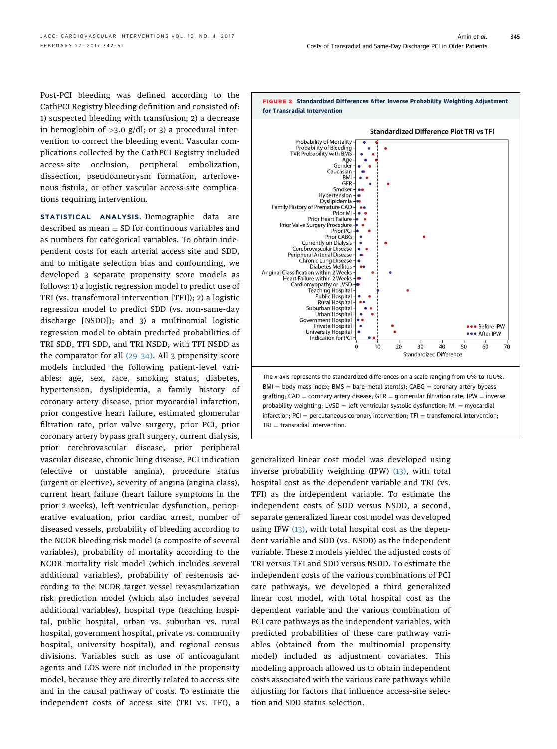<span id="page-3-0"></span>Post-PCI bleeding was defined according to the CathPCI Registry bleeding definition and consisted of: 1) suspected bleeding with transfusion; 2) a decrease in hemoglobin of  $>3.0$  g/dl; or 3) a procedural intervention to correct the bleeding event. Vascular complications collected by the CathPCI Registry included access-site occlusion, peripheral embolization, dissection, pseudoaneurysm formation, arteriovenous fistula, or other vascular access-site complications requiring intervention.

STATISTICAL ANALYSIS. Demographic data are described as mean  $\pm$  SD for continuous variables and as numbers for categorical variables. To obtain independent costs for each arterial access site and SDD, and to mitigate selection bias and confounding, we developed 3 separate propensity score models as follows: 1) a logistic regression model to predict use of TRI (vs. transfemoral intervention [TFI]); 2) a logistic regression model to predict SDD (vs. non-same-day discharge [NSDD]); and 3) a multinomial logistic regression model to obtain predicted probabilities of TRI SDD, TFI SDD, and TRI NSDD, with TFI NSDD as the comparator for all (29–[34\)](#page-9-0). All 3 propensity score models included the following patient-level variables: age, sex, race, smoking status, diabetes, hypertension, dyslipidemia, a family history of coronary artery disease, prior myocardial infarction, prior congestive heart failure, estimated glomerular filtration rate, prior valve surgery, prior PCI, prior coronary artery bypass graft surgery, current dialysis, prior cerebrovascular disease, prior peripheral vascular disease, chronic lung disease, PCI indication (elective or unstable angina), procedure status (urgent or elective), severity of angina (angina class), current heart failure (heart failure symptoms in the prior 2 weeks), left ventricular dysfunction, perioperative evaluation, prior cardiac arrest, number of diseased vessels, probability of bleeding according to the NCDR bleeding risk model (a composite of several variables), probability of mortality according to the NCDR mortality risk model (which includes several additional variables), probability of restenosis according to the NCDR target vessel revascularization risk prediction model (which also includes several additional variables), hospital type (teaching hospital, public hospital, urban vs. suburban vs. rural hospital, government hospital, private vs. community hospital, university hospital), and regional census divisions. Variables such as use of anticoagulant agents and LOS were not included in the propensity model, because they are directly related to access site and in the causal pathway of costs. To estimate the independent costs of access site (TRI vs. TFI), a



generalized linear cost model was developed using inverse probability weighting (IPW) [\(13\)](#page-9-0), with total hospital cost as the dependent variable and TRI (vs. TFI) as the independent variable. To estimate the independent costs of SDD versus NSDD, a second, separate generalized linear cost model was developed using IPW  $(13)$ , with total hospital cost as the dependent variable and SDD (vs. NSDD) as the independent variable. These 2 models yielded the adjusted costs of TRI versus TFI and SDD versus NSDD. To estimate the independent costs of the various combinations of PCI care pathways, we developed a third generalized linear cost model, with total hospital cost as the dependent variable and the various combination of PCI care pathways as the independent variables, with predicted probabilities of these care pathway variables (obtained from the multinomial propensity model) included as adjustment covariates. This modeling approach allowed us to obtain independent costs associated with the various care pathways while adjusting for factors that influence access-site selection and SDD status selection.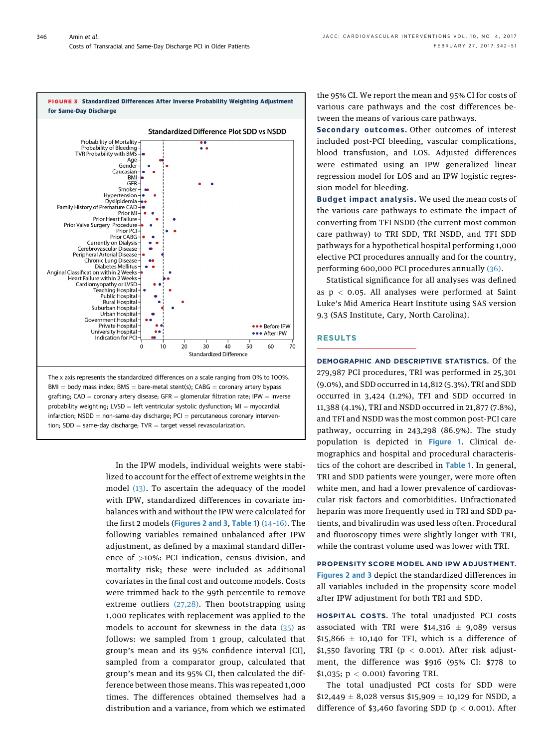

 $BMI = body$  mass index;  $BMS = bare$ -metal stent(s);  $CABG =$  coronary artery bypass grafting; CAD = coronary artery disease; GFR = glomerular filtration rate; IPW = inverse probability weighting; LVSD = left ventricular systolic dysfunction;  $MI = myocardial$  $inf$ arction; NSDD = non-same-day discharge; PCI = percutaneous coronary intervention;  $SDD = same-day discharge; TVR = target vessel revascularization.$ 

> In the IPW models, individual weights were stabilized to account for the effect of extreme weights in the model [\(13\).](#page-9-0) To ascertain the adequacy of the model with IPW, standardized differences in covariate imbalances with and without the IPW were calculated for the first 2 models ([Figures 2 and](#page-3-0) 3, [Table 1](#page-5-0)) (14–[16\)](#page-9-0). The following variables remained unbalanced after IPW adjustment, as defined by a maximal standard difference of >10%: PCI indication, census division, and mortality risk; these were included as additional covariates in the final cost and outcome models. Costs were trimmed back to the 99th percentile to remove extreme outliers  $(27,28)$ . Then bootstrapping using 1,000 replicates with replacement was applied to the models to account for skewness in the data [\(35\)](#page-9-0) as follows: we sampled from 1 group, calculated that group's mean and its 95% confidence interval [CI], sampled from a comparator group, calculated that group's mean and its 95% CI, then calculated the difference between those means. This was repeated 1,000 times. The differences obtained themselves had a distribution and a variance, from which we estimated

the 95% CI. We report the mean and 95% CI for costs of various care pathways and the cost differences between the means of various care pathways.

Secondary outcomes . Other outcomes of interest included post-PCI bleeding, vascular complications, blood transfusion, and LOS. Adjusted differences were estimated using an IPW generalized linear regression model for LOS and an IPW logistic regression model for bleeding.

Budget impact analysis . We used the mean costs of the various care pathways to estimate the impact of converting from TFI NSDD (the current most common care pathway) to TRI SDD, TRI NSDD, and TFI SDD pathways for a hypothetical hospital performing 1,000 elective PCI procedures annually and for the country, performing 600,000 PCI procedures annually [\(36\).](#page-9-0)

Statistical significance for all analyses was defined as  $p < 0.05$ . All analyses were performed at Saint Luke's Mid America Heart Institute using SAS version 9.3 (SAS Institute, Cary, North Carolina).

## RESULTS

DEMOGRAPHIC AND DESCRIPTIVE STATISTICS. Of the 279,987 PCI procedures, TRI was performed in 25,301 (9.0%), and SDD occurred in 14,812 (5.3%). TRI and SDD occurred in 3,424 (1.2%), TFI and SDD occurred in 11,388 (4.1%), TRI and NSDD occurred in 21,877 (7.8%), and TFI and NSDD was the most common post-PCI care pathway, occurring in 243,298 (86.9%). The study population is depicted in [Figure 1](#page-2-0). Clinical demographics and hospital and procedural characteristics of the cohort are described in [Table 1](#page-5-0). In general, TRI and SDD patients were younger, were more often white men, and had a lower prevalence of cardiovascular risk factors and comorbidities. Unfractionated heparin was more frequently used in TRI and SDD patients, and bivalirudin was used less often. Procedural and fluoroscopy times were slightly longer with TRI, while the contrast volume used was lower with TRI.

PROPENSITY SCORE MODEL AND IPW ADJUSTMENT. [Figures 2 and](#page-3-0) 3 depict the standardized differences in all variables included in the propensity score model after IPW adjustment for both TRI and SDD.

HOSPITAL COSTS. The total unadjusted PCI costs associated with TRI were  $$14,316 \pm 9,089$  versus  $$15,866 \pm 10,140$  for TFI, which is a difference of \$1,550 favoring TRI ( $p < 0.001$ ). After risk adjustment, the difference was \$916 (95% CI: \$778 to \$1,035; p < 0.001) favoring TRI.

The total unadjusted PCI costs for SDD were \$12,449  $\pm$  8,028 versus \$15,909  $\pm$  10,129 for NSDD, a difference of \$3,460 favoring SDD ( $p < 0.001$ ). After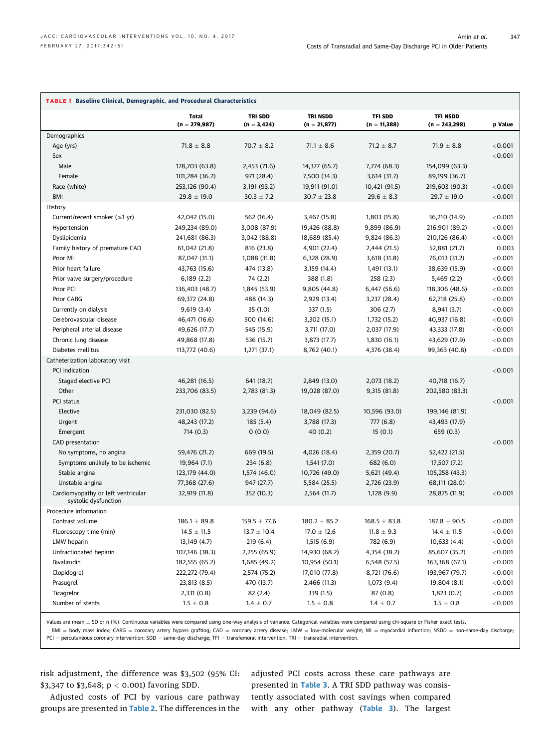<span id="page-5-0"></span>

| <b>TABLE 1 Baseline Clinical, Demographic, and Procedural Characteristics</b> |                          |                                 |                                   |                                  |                                    |           |
|-------------------------------------------------------------------------------|--------------------------|---------------------------------|-----------------------------------|----------------------------------|------------------------------------|-----------|
|                                                                               | Total<br>$(n = 279,987)$ | <b>TRI SDD</b><br>$(n = 3,424)$ | <b>TRI NSDD</b><br>$(n = 21,877)$ | <b>TFI SDD</b><br>$(n = 11,388)$ | <b>TFI NSDD</b><br>$(n = 243,298)$ | p Value   |
| Demographics                                                                  |                          |                                 |                                   |                                  |                                    |           |
| Age (yrs)                                                                     | $71.8 \pm 8.8$           | $70.7 \pm 8.2$                  | $71.1 \pm 8.6$                    | $71.2 \pm 8.7$                   | $71.9 \pm 8.8$                     | < 0.001   |
| Sex                                                                           |                          |                                 |                                   |                                  |                                    | < 0.001   |
| Male                                                                          | 178,703 (63.8)           | 2,453 (71.6)                    | 14,377 (65.7)                     | 7,774 (68.3)                     | 154,099 (63.3)                     |           |
| Female                                                                        | 101,284 (36.2)           | 971 (28.4)                      | 7,500 (34.3)                      | 3,614 (31.7)                     | 89,199 (36.7)                      |           |
| Race (white)                                                                  | 253,126 (90.4)           | 3,191 (93.2)                    | 19,911 (91.0)                     | 10,421 (91.5)                    | 219,603 (90.3)                     | < 0.001   |
| BMI                                                                           | $29.8 \pm 19.0$          | $30.3 \pm 7.2$                  | $30.7 \pm 23.8$                   | $29.6 \pm 8.3$                   | $29.7 \pm 19.0$                    | < 0.001   |
| History                                                                       |                          |                                 |                                   |                                  |                                    |           |
| Current/recent smoker $(\leq 1$ yr)                                           | 42,042 (15.0)            | 562 (16.4)                      | 3,467 (15.8)                      | 1,803 (15.8)                     | 36,210 (14.9)                      | < 0.001   |
| Hypertension                                                                  | 249,234 (89.0)           | 3,008 (87.9)                    | 19,426 (88.8)                     | 9,899 (86.9)                     | 216,901 (89.2)                     | < 0.001   |
| Dyslipidemia                                                                  | 241,681 (86.3)           | 3,042 (88.8)                    | 18,689 (85.4)                     | 9,824 (86.3)                     | 210,126 (86.4)                     | < 0.001   |
| Family history of premature CAD                                               | 61,042 (21.8)            | 816 (23.8)                      | 4,901 (22.4)                      | 2,444 (21.5)                     | 52,881 (21.7)                      | 0.003     |
| Prior MI                                                                      | 87,047 (31.1)            | 1,088 (31.8)                    | 6,328 (28.9)                      | 3,618 (31.8)                     | 76,013 (31.2)                      | $<$ 0.001 |
| Prior heart failure                                                           | 43,763 (15.6)            | 474 (13.8)                      | 3,159 (14.4)                      | 1,491 (13.1)                     | 38,639 (15.9)                      | $<$ 0.001 |
| Prior valve surgery/procedure                                                 | 6,189(2.2)               | 74 (2.2)                        | 388 (1.8)                         | 258 (2.3)                        | 5,469 (2.2)                        | < 0.001   |
| Prior PCI                                                                     | 136,403 (48.7)           | 1,845 (53.9)                    | 9,805 (44.8)                      | 6,447 (56.6)                     | 118,306 (48.6)                     | < 0.001   |
| Prior CABG                                                                    | 69,372 (24.8)            | 488 (14.3)                      | 2,929 (13.4)                      | 3,237 (28.4)                     | 62,718 (25.8)                      | < 0.001   |
|                                                                               | 9,619(3.4)               | 35(1.0)                         | 337 (1.5)                         | 306(2.7)                         | 8,941 (3.7)                        | < 0.001   |
| Currently on dialysis                                                         |                          | 500 (14.6)                      |                                   | 1,732 (15.2)                     |                                    |           |
| Cerebrovascular disease                                                       | 46,471 (16.6)            |                                 | 3,302 (15.1)                      |                                  | 40,937 (16.8)                      | < 0.001   |
| Peripheral arterial disease                                                   | 49,626 (17.7)            | 545 (15.9)                      | 3,711 (17.0)                      | 2,037 (17.9)                     | 43,333 (17.8)                      | < 0.001   |
| Chronic lung disease                                                          | 49,868 (17.8)            | 536 (15.7)                      | 3,873 (17.7)                      | 1,830 (16.1)                     | 43,629 (17.9)                      | < 0.001   |
| Diabetes mellitus                                                             | 113,772 (40.6)           | 1,271 (37.1)                    | 8,762 (40.1)                      | 4,376 (38.4)                     | 99,363 (40.8)                      | < 0.001   |
| Catheterization laboratory visit                                              |                          |                                 |                                   |                                  |                                    |           |
| PCI indication                                                                |                          |                                 |                                   |                                  |                                    | < 0.001   |
| Staged elective PCI                                                           | 46,281 (16.5)            | 641 (18.7)                      | 2,849 (13.0)                      | 2,073 (18.2)                     | 40,718 (16.7)                      |           |
| Other                                                                         | 233,706 (83.5)           | 2,783 (81.3)                    | 19,028 (87.0)                     | 9,315 (81.8)                     | 202,580 (83.3)                     |           |
| PCI status                                                                    |                          |                                 |                                   |                                  |                                    | < 0.001   |
| Elective                                                                      | 231,030 (82.5)           | 3,239 (94.6)                    | 18,049 (82.5)                     | 10,596 (93.0)                    | 199,146 (81.9)                     |           |
| Urgent                                                                        | 48,243 (17.2)            | 185 (5.4)                       | 3,788 (17.3)                      | 777 (6.8)                        | 43,493 (17.9)                      |           |
| Emergent                                                                      | 714(0.3)                 | 0(0.0)                          | 40(0.2)                           | 15(0.1)                          | 659 (0.3)                          |           |
| CAD presentation                                                              |                          |                                 |                                   |                                  |                                    | < 0.001   |
| No symptoms, no angina                                                        | 59,476 (21.2)            | 669 (19.5)                      | 4,026 (18.4)                      | 2,359 (20.7)                     | 52,422 (21.5)                      |           |
| Symptoms unlikely to be ischemic                                              | 19,964 (7.1)             | 234(6.8)                        | 1,541(7.0)                        | 682 (6.0)                        | 17,507 (7.2)                       |           |
| Stable angina                                                                 | 123,179 (44.0)           | 1,574 (46.0)                    | 10,726 (49.0)                     | 5,621 (49.4)                     | 105,258 (43.3)                     |           |
| Unstable angina                                                               | 77,368 (27.6)            | 947 (27.7)                      | 5,584 (25.5)                      | 2,726 (23.9)                     | 68,111 (28.0)                      |           |
| Cardiomyopathy or left ventricular<br>systolic dysfunction                    | 32,919 (11.8)            | 352 (10.3)                      | 2,564 (11.7)                      | 1,128 (9.9)                      | 28,875 (11.9)                      | < 0.001   |
| Procedure information                                                         |                          |                                 |                                   |                                  |                                    |           |
| Contrast volume                                                               | $186.1 \pm 89.8$         | $159.5 \pm 77.6$                | $180.2 \pm 85.2$                  | $168.5 \pm 83.8$                 | $187.8 \pm 90.5$                   | $<$ 0.001 |
| Fluoroscopy time (min)                                                        | $14.5 \pm 11.5$          | $13.7 \pm 10.4$                 | $17.0 \pm 12.6$                   | $11.8 \pm 9.3$                   | $14.4 \pm 11.5$                    | < 0.001   |
| LMW heparin                                                                   | 13,149 (4.7)             | 219(6.4)                        | 1,515 (6.9)                       | 782 (6.9)                        | 10,633 (4.4)                       | < 0.001   |
| Unfractionated heparin                                                        | 107,146 (38.3)           | 2,255 (65.9)                    | 14,930 (68.2)                     | 4,354 (38.2)                     | 85,607 (35.2)                      | < 0.001   |
| Bivalirudin                                                                   | 182,555 (65.2)           | 1,685 (49.2)                    | 10,954 (50.1)                     | 6,548 (57.5)                     | 163,368 (67.1)                     | < 0.001   |
| Clopidogrel                                                                   | 222,272 (79.4)           | 2,574 (75.2)                    | 17,010 (77.8)                     | 8,721 (76.6)                     | 193,967 (79.7)                     | < 0.001   |
| Prasugrel                                                                     | 23,813 (8.5)             | 470 (13.7)                      | 2,466 (11.3)                      | 1,073 (9.4)                      | 19,804 (8.1)                       | < 0.001   |
| Ticagrelor                                                                    | 2,331(0.8)               | 82 (2.4)                        | 339 (1.5)                         | 87 (0.8)                         | 1,823 (0.7)                        | < 0.001   |
| Number of stents                                                              | $1.5\,\pm\,0.8$          | $1.4 \pm 0.7$                   | $1.5 \pm 0.8$                     | $1.4 \pm 0.7$                    | $1.5 \pm 0.8$                      | < 0.001   |
|                                                                               |                          |                                 |                                   |                                  |                                    |           |

Values are mean ± SD or n (%). Continuous variables were compared using one-way analysis of variance. Categorical variables were compared using chi-square or Fisher exact tests.

 $BMI = body$  mass index; CABG = coronary artery bypass grafting; CAD = coronary artery disease; LMW = low-molecular weight; MI = myocardial infarction; NSDD = non-same-day discharge;  $PCI =$  percutaneous coronary intervention;  $SDD =$  same-day discharge; TFI = transfemoral intervention; TRI = transradial intervention.

risk adjustment, the difference was \$3,502 (95% CI: \$3,347 to \$3,648; p < 0.001) favoring SDD.

adjusted PCI costs across these care pathways are presented in [Table 3](#page-6-0). A TRI SDD pathway was consistently associated with cost savings when compared with any other pathway ([Table 3](#page-6-0)). The largest

Adjusted costs of PCI by various care pathway groups are presented in [Table 2](#page-6-0). The differences in the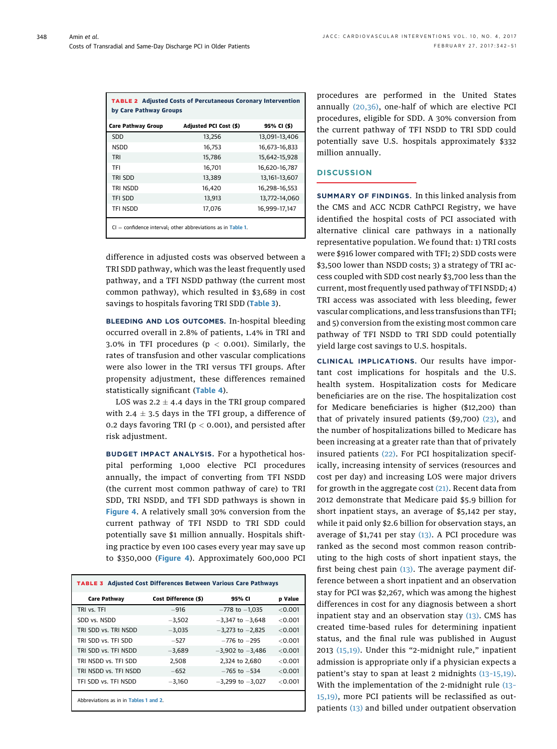<span id="page-6-0"></span>

| <b>TABLE 2 Adjusted Costs of Percutaneous Coronary Intervention</b><br>by Care Pathway Groups |                        |                   |  |  |  |
|-----------------------------------------------------------------------------------------------|------------------------|-------------------|--|--|--|
| <b>Care Pathway Group</b>                                                                     | Adjusted PCI Cost (\$) | 95% CI (\$)       |  |  |  |
| SDD                                                                                           | 13,256                 | 13,091-13,406     |  |  |  |
| <b>NSDD</b>                                                                                   | 16.753                 | 16.673-16.833     |  |  |  |
| TRI                                                                                           | 15,786                 | 15,642-15,928     |  |  |  |
| TFI                                                                                           | 16.701                 | 16,620-16,787     |  |  |  |
| TRI SDD                                                                                       | 13,389                 | 13, 161 - 13, 607 |  |  |  |
| TRI NSDD                                                                                      | 16.420                 | 16.298-16.553     |  |  |  |
| <b>TFI SDD</b>                                                                                | 13,913                 | 13,772-14,060     |  |  |  |
| TFI NSDD                                                                                      | 17.076                 | 16,999-17,147     |  |  |  |

 $=$  confidence interval; other abbreviations as in [Table 1](#page-5-0).

difference in adjusted costs was observed between a TRI SDD pathway, which was the least frequently used pathway, and a TFI NSDD pathway (the current most common pathway), which resulted in \$3,689 in cost savings to hospitals favoring TRI SDD (Table 3).

BLEEDING AND LOS OUTCOMES. In-hospital bleeding occurred overall in 2.8% of patients, 1.4% in TRI and 3.0% in TFI procedures ( $p < 0.001$ ). Similarly, the rates of transfusion and other vascular complications were also lower in the TRI versus TFI groups. After propensity adjustment, these differences remained statistically significant ([Table 4](#page-7-0)).

LOS was  $2.2 \pm 4.4$  days in the TRI group compared with 2.4  $\pm$  3.5 days in the TFI group, a difference of 0.2 days favoring TRI ( $p < 0.001$ ), and persisted after risk adjustment.

BUDGET IMPACT ANALYSIS. For a hypothetical hospital performing 1,000 elective PCI procedures annually, the impact of converting from TFI NSDD (the current most common pathway of care) to TRI SDD, TRI NSDD, and TFI SDD pathways is shown in [Figure 4](#page-7-0). A relatively small 30% conversion from the current pathway of TFI NSDD to TRI SDD could potentially save \$1 million annually. Hospitals shifting practice by even 100 cases every year may save up to \$350,000 ([Figure 4](#page-7-0)). Approximately 600,000 PCI

| <b>Care Pathway</b>   | Cost Difference (\$) | 95% CI               | p Value   |
|-----------------------|----------------------|----------------------|-----------|
| TRI vs. TFI           | $-916$               | $-778$ to $-1,035$   | < 0.001   |
| SDD vs. NSDD          | $-3,502$             | $-3,347$ to $-3,648$ | $<$ 0.001 |
| TRI SDD vs. TRI NSDD  | $-3,035$             | $-3,273$ to $-2,825$ | < 0.001   |
| TRI SDD vs. TFI SDD   | $-527$               | $-776$ to $-295$     | $<$ 0.001 |
| TRI SDD vs. TFI NSDD  | $-3,689$             | $-3,902$ to $-3,486$ | < 0.001   |
| TRI NSDD vs. TFI SDD  | 2.508                | 2.324 to 2.680       | < 0.001   |
| TRI NSDD vs. TFI NSDD | $-652$               | $-765$ to $-534$     | $<$ 0.001 |
| TFI SDD vs. TFI NSDD  | $-3,160$             | $-3,299$ to $-3,027$ | $<$ 0.001 |

procedures are performed in the United States annually [\(20,36\),](#page-9-0) one-half of which are elective PCI procedures, eligible for SDD. A 30% conversion from the current pathway of TFI NSDD to TRI SDD could potentially save U.S. hospitals approximately \$332 million annually.

## **DISCUSSION**

SUMMARY OF FINDINGS. In this linked analysis from the CMS and ACC NCDR CathPCI Registry, we have identified the hospital costs of PCI associated with alternative clinical care pathways in a nationally representative population. We found that: 1) TRI costs were \$916 lower compared with TFI; 2) SDD costs were \$3,500 lower than NSDD costs; 3) a strategy of TRI access coupled with SDD cost nearly \$3,700 less than the current, most frequently used pathway of TFI NSDD; 4) TRI access was associated with less bleeding, fewer vascular complications, and less transfusions than TFI; and 5) conversion from the existing most common care pathway of TFI NSDD to TRI SDD could potentially yield large cost savings to U.S. hospitals.

CLINICAL IMPLICATIONS. Our results have important cost implications for hospitals and the U.S. health system. Hospitalization costs for Medicare beneficiaries are on the rise. The hospitalization cost for Medicare beneficiaries is higher (\$12,200) than that of privately insured patients  $(\$9,700)$   $(23)$ , and the number of hospitalizations billed to Medicare has been increasing at a greater rate than that of privately insured patients [\(22\)](#page-9-0). For PCI hospitalization specifically, increasing intensity of services (resources and cost per day) and increasing LOS were major drivers for growth in the aggregate cost  $(21)$ . Recent data from 2012 demonstrate that Medicare paid \$5.9 billion for short inpatient stays, an average of \$5,142 per stay, while it paid only \$2.6 billion for observation stays, an average of  $$1,741$  per stay  $(13)$ . A PCI procedure was ranked as the second most common reason contributing to the high costs of short inpatient stays, the first being chest pain  $(13)$ . The average payment difference between a short inpatient and an observation stay for PCI was \$2,267, which was among the highest differences in cost for any diagnosis between a short inpatient stay and an observation stay  $(13)$ . CMS has created time-based rules for determining inpatient status, and the final rule was published in August 2013 [\(15,19\).](#page-9-0) Under this "2-midnight rule," inpatient admission is appropriate only if a physician expects a patient's stay to span at least 2 midnights (13–[15,19\).](#page-9-0) With the implementation of the 2-midnight rule [\(13](#page-9-0)– [15,19\)](#page-9-0), more PCI patients will be reclassified as outpatients [\(13\)](#page-9-0) and billed under outpatient observation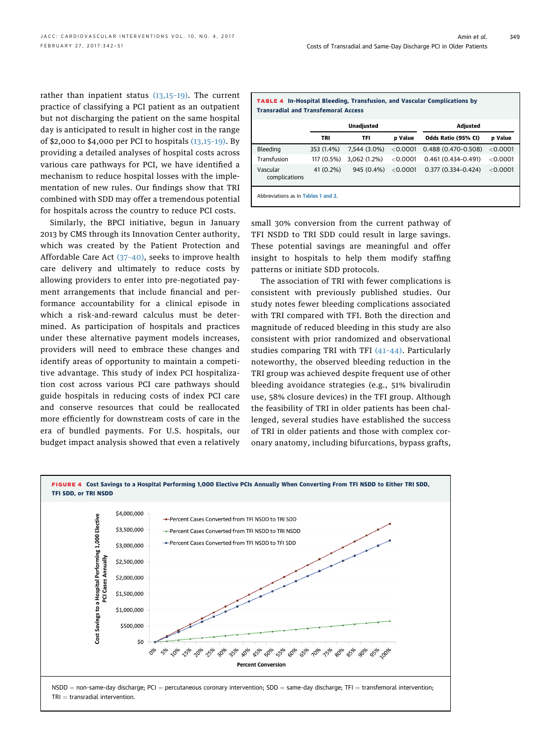<span id="page-7-0"></span>rather than inpatient status  $(13,15-19)$  $(13,15-19)$ . The current practice of classifying a PCI patient as an outpatient but not discharging the patient on the same hospital day is anticipated to result in higher cost in the range of \$2,000 to \$4,000 per PCI to hospitals [\(13,15](#page-9-0)–19). By providing a detailed analyses of hospital costs across various care pathways for PCI, we have identified a mechanism to reduce hospital losses with the implementation of new rules. Our findings show that TRI combined with SDD may offer a tremendous potential for hospitals across the country to reduce PCI costs.

Similarly, the BPCI initiative, begun in January 2013 by CMS through its Innovation Center authority, which was created by the Patient Protection and Affordable Care Act (37–[40\)](#page-9-0), seeks to improve health care delivery and ultimately to reduce costs by allowing providers to enter into pre-negotiated payment arrangements that include financial and performance accountability for a clinical episode in which a risk-and-reward calculus must be determined. As participation of hospitals and practices under these alternative payment models increases, providers will need to embrace these changes and identify areas of opportunity to maintain a competitive advantage. This study of index PCI hospitalization cost across various PCI care pathways should guide hospitals in reducing costs of index PCI care and conserve resources that could be reallocated more efficiently for downstream costs of care in the era of bundled payments. For U.S. hospitals, our budget impact analysis showed that even a relatively

| <b>TABLE 4 In-Hospital Bleeding, Transfusion, and Vascular Complications by</b><br><b>Transradial and Transfemoral Access</b> |                   |              |                |                        |                |  |
|-------------------------------------------------------------------------------------------------------------------------------|-------------------|--------------|----------------|------------------------|----------------|--|
|                                                                                                                               | <b>Unadiusted</b> |              |                | <b>Adiusted</b>        |                |  |
|                                                                                                                               | TRI               | TFI          | <b>p</b> Value | Odds Ratio (95% CI)    | <b>p</b> Value |  |
| Bleeding                                                                                                                      | 353 (1.4%)        | 7.544 (3.0%) | $<$ 0.0001     | $0.488(0.470-0.508)$   | $<$ 0.0001     |  |
| Transfusion                                                                                                                   | 117 (0.5%)        | 3.062(1.2%)  | < 0.0001       | $0.461(0.434 - 0.491)$ | $<$ 0.0001     |  |
| Vascular<br>complications                                                                                                     | 41 (0.2%)         | 945 (0.4%)   | $<$ 0.0001     | $0.377(0.334 - 0.424)$ | $<$ 0.0001     |  |
| Abbreviations as in Tables 1 and 2.                                                                                           |                   |              |                |                        |                |  |

small 30% conversion from the current pathway of TFI NSDD to TRI SDD could result in large savings. These potential savings are meaningful and offer insight to hospitals to help them modify staffing patterns or initiate SDD protocols.

The association of TRI with fewer complications is consistent with previously published studies. Our study notes fewer bleeding complications associated with TRI compared with TFI. Both the direction and magnitude of reduced bleeding in this study are also consistent with prior randomized and observational studies comparing TRI with TFI (41–[44\)](#page-9-0). Particularly noteworthy, the observed bleeding reduction in the TRI group was achieved despite frequent use of other bleeding avoidance strategies (e.g., 51% bivalirudin use, 58% closure devices) in the TFI group. Although the feasibility of TRI in older patients has been challenged, several studies have established the success of TRI in older patients and those with complex coronary anatomy, including bifurcations, bypass grafts,

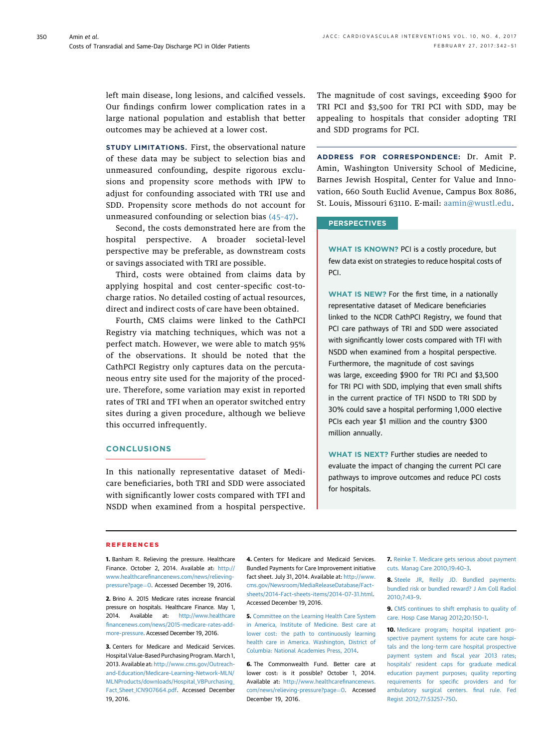<span id="page-8-0"></span>left main disease, long lesions, and calcified vessels. Our findings confirm lower complication rates in a large national population and establish that better outcomes may be achieved at a lower cost.

STUDY LIMITATIONS. First, the observational nature of these data may be subject to selection bias and unmeasured confounding, despite rigorous exclusions and propensity score methods with IPW to adjust for confounding associated with TRI use and SDD. Propensity score methods do not account for unmeasured confounding or selection bias [\(45](#page-9-0)–47).

Second, the costs demonstrated here are from the hospital perspective. A broader societal-level perspective may be preferable, as downstream costs or savings associated with TRI are possible.

Third, costs were obtained from claims data by applying hospital and cost center–specific cost-tocharge ratios. No detailed costing of actual resources, direct and indirect costs of care have been obtained.

Fourth, CMS claims were linked to the CathPCI Registry via matching techniques, which was not a perfect match. However, we were able to match 95% of the observations. It should be noted that the CathPCI Registry only captures data on the percutaneous entry site used for the majority of the procedure. Therefore, some variation may exist in reported rates of TRI and TFI when an operator switched entry sites during a given procedure, although we believe this occurred infrequently.

## **CONCLUSIONS**

In this nationally representative dataset of Medicare beneficiaries, both TRI and SDD were associated with significantly lower costs compared with TFI and NSDD when examined from a hospital perspective. The magnitude of cost savings, exceeding \$900 for TRI PCI and \$3,500 for TRI PCI with SDD, may be appealing to hospitals that consider adopting TRI and SDD programs for PCI.

ADDRESS FOR CORRESPONDENCE: Dr. Amit P. Amin, Washington University School of Medicine, Barnes Jewish Hospital, Center for Value and Innovation, 660 South Euclid Avenue, Campus Box 8086, St. Louis, Missouri 63110. E-mail: [aamin@wustl.edu](mailto:aamin@wustl.edu).

#### **PERSPECTIVES**

WHAT IS KNOWN? PCI is a costly procedure, but few data exist on strategies to reduce hospital costs of PCI.

WHAT IS NEW? For the first time, in a nationally representative dataset of Medicare beneficiaries linked to the NCDR CathPCI Registry, we found that PCI care pathways of TRI and SDD were associated with significantly lower costs compared with TFI with NSDD when examined from a hospital perspective. Furthermore, the magnitude of cost savings was large, exceeding \$900 for TRI PCI and \$3,500 for TRI PCI with SDD, implying that even small shifts in the current practice of TFI NSDD to TRI SDD by 30% could save a hospital performing 1,000 elective PCIs each year \$1 million and the country \$300 million annually.

WHAT IS NEXT? Further studies are needed to evaluate the impact of changing the current PCI care pathways to improve outcomes and reduce PCI costs for hospitals.

#### **REFERENCES**

1. Banham R. Relieving the pressure. Healthcare Finance. October 2, 2014. Available at: [http://](http://www.healthcarefinancenews.com/news/relieving-pressure?page=0) www.healthcarefi[nancenews.com/news/relieving](http://www.healthcarefinancenews.com/news/relieving-pressure?page=0)[pressure?page](http://www.healthcarefinancenews.com/news/relieving-pressure?page=0)=[0](http://www.healthcarefinancenews.com/news/relieving-pressure?page=0). Accessed December 19, 2016.

2. Brino A. 2015 Medicare rates increase financial pressure on hospitals. Healthcare Finance. May 1, 2014. Available at: [http://www.healthcare](http://www.healthcarefinancenews.com/news/2015-medicare-rates-add-more-pressure) fi[nancenews.com/news/2015-medicare-rates-add](http://www.healthcarefinancenews.com/news/2015-medicare-rates-add-more-pressure)[more-pressure](http://www.healthcarefinancenews.com/news/2015-medicare-rates-add-more-pressure). Accessed December 19, 2016.

3. Centers for Medicare and Medicaid Services. Hospital Value-Based Purchasing Program. March 1, 2013. Available at: [http://www.cms.gov/Outreach](http://www.cms.gov/Outreach-and-Education/Medicare-Learning-Network-MLN/MLNProducts/downloads/Hospital_VBPurchasing_Fact_Sheet_ICN907664.pdf)[and-Education/Medicare-Learning-Network-MLN/](http://www.cms.gov/Outreach-and-Education/Medicare-Learning-Network-MLN/MLNProducts/downloads/Hospital_VBPurchasing_Fact_Sheet_ICN907664.pdf) [MLNProducts/downloads/Hospital\\_VBPurchasing\\_](http://www.cms.gov/Outreach-and-Education/Medicare-Learning-Network-MLN/MLNProducts/downloads/Hospital_VBPurchasing_Fact_Sheet_ICN907664.pdf) Fact Sheet ICN907664.pdf. Accessed December 19, 2016.

4. Centers for Medicare and Medicaid Services. Bundled Payments for Care Improvement initiative fact sheet. July 31, 2014. Available at: [http://www.](http://www.cms.gov/Newsroom/MediaReleaseDatabase/Fact-sheets/2014-Fact-sheets-items/2014-07-31.html) [cms.gov/Newsroom/MediaReleaseDatabase/Fact](http://www.cms.gov/Newsroom/MediaReleaseDatabase/Fact-sheets/2014-Fact-sheets-items/2014-07-31.html)[sheets/2014-Fact-sheets-items/2014-07-31.html.](http://www.cms.gov/Newsroom/MediaReleaseDatabase/Fact-sheets/2014-Fact-sheets-items/2014-07-31.html) Accessed December 19, 2016.

5. [Committee on the Learning Health Care System](http://refhub.elsevier.com/S1936-8798(16)32199-9/sref5) [in America, Institute of Medicine. Best care at](http://refhub.elsevier.com/S1936-8798(16)32199-9/sref5) [lower cost: the path to continuously learning](http://refhub.elsevier.com/S1936-8798(16)32199-9/sref5) [health care in America. Washington, District of](http://refhub.elsevier.com/S1936-8798(16)32199-9/sref5) [Columbia: National Academies Press, 2014](http://refhub.elsevier.com/S1936-8798(16)32199-9/sref5).

**6.** The Commonwealth Fund. Better care at lower cost: is it possible? October 1, 2014. Available at: [http://www.healthcare](http://www.healthcarefinancenews.com/news/relieving-pressure?page=0)financenews. [com/news/relieving-pressure?page](http://www.healthcarefinancenews.com/news/relieving-pressure?page=0)=[0.](http://www.healthcarefinancenews.com/news/relieving-pressure?page=0) Accessed December 19, 2016.

7. [Reinke T. Medicare gets serious about payment](http://refhub.elsevier.com/S1936-8798(16)32199-9/sref7) [cuts. Manag Care 2010;19:40](http://refhub.elsevier.com/S1936-8798(16)32199-9/sref7)–3.

8. [Steele JR, Reilly JD. Bundled payments:](http://refhub.elsevier.com/S1936-8798(16)32199-9/sref8) [bundled risk or bundled reward? J Am Coll Radiol](http://refhub.elsevier.com/S1936-8798(16)32199-9/sref8) [2010;7:43](http://refhub.elsevier.com/S1936-8798(16)32199-9/sref8)–9.

9. [CMS continues to shift emphasis to quality of](http://refhub.elsevier.com/S1936-8798(16)32199-9/sref9) [care. Hosp Case Manag 2012;20:150](http://refhub.elsevier.com/S1936-8798(16)32199-9/sref9)–1.

10. [Medicare program; hospital inpatient pro](http://refhub.elsevier.com/S1936-8798(16)32199-9/sref10)[spective payment systems for acute care hospi](http://refhub.elsevier.com/S1936-8798(16)32199-9/sref10)[tals and the long-term care hospital prospective](http://refhub.elsevier.com/S1936-8798(16)32199-9/sref10) payment system and fi[scal year 2013 rates;](http://refhub.elsevier.com/S1936-8798(16)32199-9/sref10) hospitals' [resident caps for graduate medical](http://refhub.elsevier.com/S1936-8798(16)32199-9/sref10) [education payment purposes; quality reporting](http://refhub.elsevier.com/S1936-8798(16)32199-9/sref10) [requirements for speci](http://refhub.elsevier.com/S1936-8798(16)32199-9/sref10)fic providers and for [ambulatory surgical centers.](http://refhub.elsevier.com/S1936-8798(16)32199-9/sref10) final rule. Fed [Regist 2012;77:53257](http://refhub.elsevier.com/S1936-8798(16)32199-9/sref10)–750.